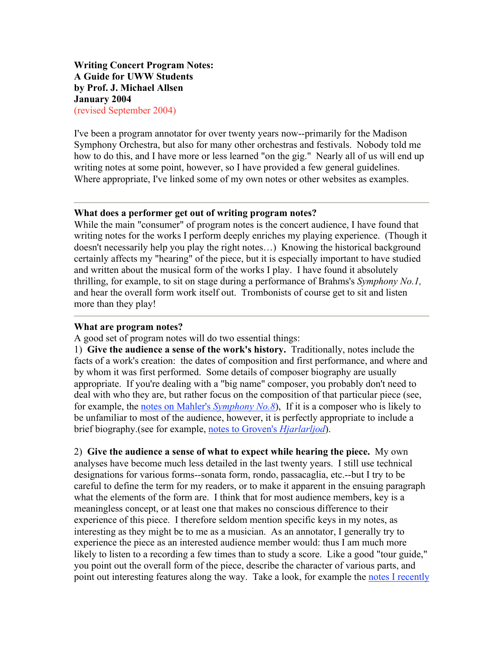**Writing Concert Program Notes: A Guide for UWW Students by Prof. J. Michael Allsen January 2004** (revised September 2004)

I've been a program annotator for over twenty years now--primarily for the Madison Symphony Orchestra, but also for many other orchestras and festivals. Nobody told me how to do this, and I have more or less learned "on the gig." Nearly all of us will end up writing notes at some point, however, so I have provided a few general guidelines. Where appropriate, I've linked some of my own notes or other websites as examples.

#### **What does a performer get out of writing program notes?**

While the main "consumer" of program notes is the concert audience, I have found that writing notes for the works I perform deeply enriches my playing experience. (Though it doesn't necessarily help you play the right notes…) Knowing the historical background certainly affects my "hearing" of the piece, but it is especially important to have studied and written about the musical form of the works I play. I have found it absolutely thrilling, for example, to sit on stage during a performance of Brahms's *Symphony No.1,*  and hear the overall form work itself out. Trombonists of course get to sit and listen more than they play!

#### **What are program notes?**

A good set of program notes will do two essential things:

1) **Give the audience a sense of the work's history.** Traditionally, notes include the facts of a work's creation: the dates of composition and first performance, and where and by whom it was first performed. Some details of composer biography are usually appropriate. If you're dealing with a "big name" composer, you probably don't need to deal with who they are, but rather focus on the composition of that particular piece (see, for example, the notes on Mahler's *Symphony No.8*), If it is a composer who is likely to be unfamiliar to most of the audience, however, it is perfectly appropriate to include a brief biography.(see for example, notes to Groven's *Hjarlarljod*).

2) **Give the audience a sense of what to expect while hearing the piece.** My own analyses have become much less detailed in the last twenty years. I still use technical designations for various forms--sonata form, rondo, passacaglia, etc.--but I try to be careful to define the term for my readers, or to make it apparent in the ensuing paragraph what the elements of the form are. I think that for most audience members, key is a meaningless concept, or at least one that makes no conscious difference to their experience of this piece. I therefore seldom mention specific keys in my notes, as interesting as they might be to me as a musician. As an annotator, I generally try to experience the piece as an interested audience member would: thus I am much more likely to listen to a recording a few times than to study a score. Like a good "tour guide," you point out the overall form of the piece, describe the character of various parts, and point out interesting features along the way. Take a look, for example the notes I recently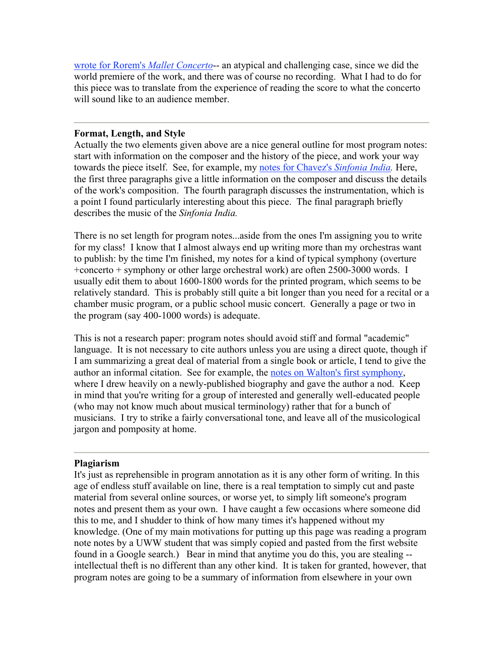wrote for Rorem's *Mallet Concerto*-- an atypical and challenging case, since we did the world premiere of the work, and there was of course no recording. What I had to do for this piece was to translate from the experience of reading the score to what the concerto will sound like to an audience member.

### **Format, Length, and Style**

Actually the two elements given above are a nice general outline for most program notes: start with information on the composer and the history of the piece, and work your way towards the piece itself. See, for example, my notes for Chavez's *Sinfonia India.* Here, the first three paragraphs give a little information on the composer and discuss the details of the work's composition. The fourth paragraph discusses the instrumentation, which is a point I found particularly interesting about this piece. The final paragraph briefly describes the music of the *Sinfonia India.*

There is no set length for program notes...aside from the ones I'm assigning you to write for my class! I know that I almost always end up writing more than my orchestras want to publish: by the time I'm finished, my notes for a kind of typical symphony (overture +concerto + symphony or other large orchestral work) are often 2500-3000 words. I usually edit them to about 1600-1800 words for the printed program, which seems to be relatively standard. This is probably still quite a bit longer than you need for a recital or a chamber music program, or a public school music concert. Generally a page or two in the program (say 400-1000 words) is adequate.

This is not a research paper: program notes should avoid stiff and formal "academic" language. It is not necessary to cite authors unless you are using a direct quote, though if I am summarizing a great deal of material from a single book or article, I tend to give the author an informal citation. See for example, the notes on Walton's first symphony, where I drew heavily on a newly-published biography and gave the author a nod. Keep in mind that you're writing for a group of interested and generally well-educated people (who may not know much about musical terminology) rather that for a bunch of musicians. I try to strike a fairly conversational tone, and leave all of the musicological jargon and pomposity at home.

#### **Plagiarism**

It's just as reprehensible in program annotation as it is any other form of writing. In this age of endless stuff available on line, there is a real temptation to simply cut and paste material from several online sources, or worse yet, to simply lift someone's program notes and present them as your own. I have caught a few occasions where someone did this to me, and I shudder to think of how many times it's happened without my knowledge. (One of my main motivations for putting up this page was reading a program note notes by a UWW student that was simply copied and pasted from the first website found in a Google search.) Bear in mind that anytime you do this, you are stealing - intellectual theft is no different than any other kind. It is taken for granted, however, that program notes are going to be a summary of information from elsewhere in your own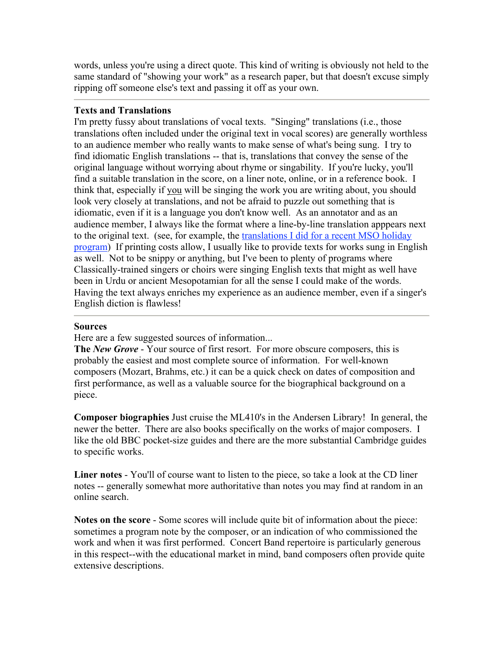words, unless you're using a direct quote. This kind of writing is obviously not held to the same standard of "showing your work" as a research paper, but that doesn't excuse simply ripping off someone else's text and passing it off as your own.

# **Texts and Translations**

I'm pretty fussy about translations of vocal texts. "Singing" translations (i.e., those translations often included under the original text in vocal scores) are generally worthless to an audience member who really wants to make sense of what's being sung. I try to find idiomatic English translations -- that is, translations that convey the sense of the original language without worrying about rhyme or singability. If you're lucky, you'll find a suitable translation in the score, on a liner note, online, or in a reference book. I think that, especially if you will be singing the work you are writing about, you should look very closely at translations, and not be afraid to puzzle out something that is idiomatic, even if it is a language you don't know well. As an annotator and as an audience member, I always like the format where a line-by-line translation apppears next to the original text. (see, for example, the translations I did for a recent MSO holiday program) If printing costs allow, I usually like to provide texts for works sung in English as well. Not to be snippy or anything, but I've been to plenty of programs where Classically-trained singers or choirs were singing English texts that might as well have been in Urdu or ancient Mesopotamian for all the sense I could make of the words. Having the text always enriches my experience as an audience member, even if a singer's English diction is flawless!

## **Sources**

Here are a few suggested sources of information...

**The** *New Grove* - Your source of first resort. For more obscure composers, this is probably the easiest and most complete source of information. For well-known composers (Mozart, Brahms, etc.) it can be a quick check on dates of composition and first performance, as well as a valuable source for the biographical background on a piece.

**Composer biographies** Just cruise the ML410's in the Andersen Library! In general, the newer the better. There are also books specifically on the works of major composers. I like the old BBC pocket-size guides and there are the more substantial Cambridge guides to specific works.

**Liner notes** - You'll of course want to listen to the piece, so take a look at the CD liner notes -- generally somewhat more authoritative than notes you may find at random in an online search.

**Notes on the score** - Some scores will include quite bit of information about the piece: sometimes a program note by the composer, or an indication of who commissioned the work and when it was first performed. Concert Band repertoire is particularly generous in this respect--with the educational market in mind, band composers often provide quite extensive descriptions.